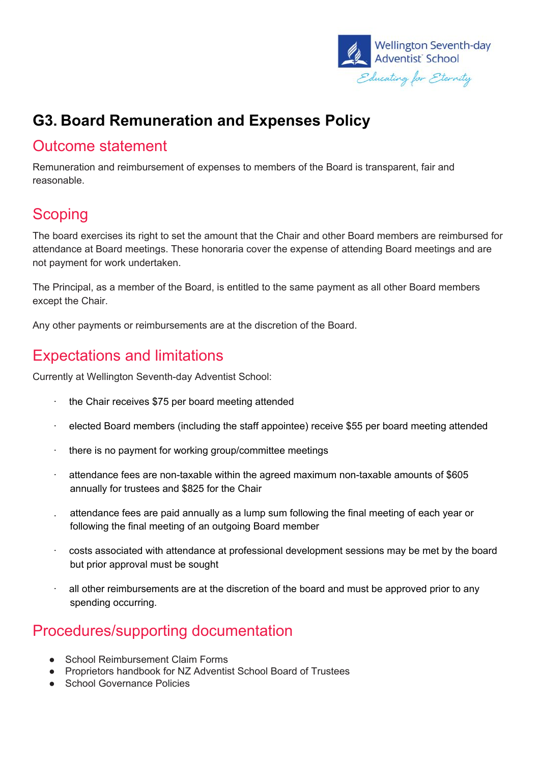

## **G3. Board Remuneration and Expenses Policy**

#### Outcome statement

Remuneration and reimbursement of expenses to members of the Board is transparent, fair and reasonable.

### **Scoping**

The board exercises its right to set the amount that the Chair and other Board members are reimbursed for attendance at Board meetings. These honoraria cover the expense of attending Board meetings and are not payment for work undertaken.

The Principal, as a member of the Board, is entitled to the same payment as all other Board members except the Chair.

Any other payments or reimbursements are at the discretion of the Board.

#### Expectations and limitations

Currently at Wellington Seventh-day Adventist School:

- $\cdot$  the Chair receives \$75 per board meeting attended
- · elected Board members (including the staff appointee) receive \$55 per board meeting attended
- · there is no payment for working group/committee meetings
- $\cdot$  attendance fees are non-taxable within the agreed maximum non-taxable amounts of \$605 annually for trustees and \$825 for the Chair
- . attendance fees are paid annually as a lump sum following the final meeting of each year or following the final meeting of an outgoing Board member
- · costs associated with attendance at professional development sessions may be met by the board but prior approval must be sought
- all other reimbursements are at the discretion of the board and must be approved prior to any spending occurring.

#### Procedures/supporting documentation

- School Reimbursement Claim Forms
- Proprietors handbook for NZ Adventist School Board of Trustees
- School Governance Policies